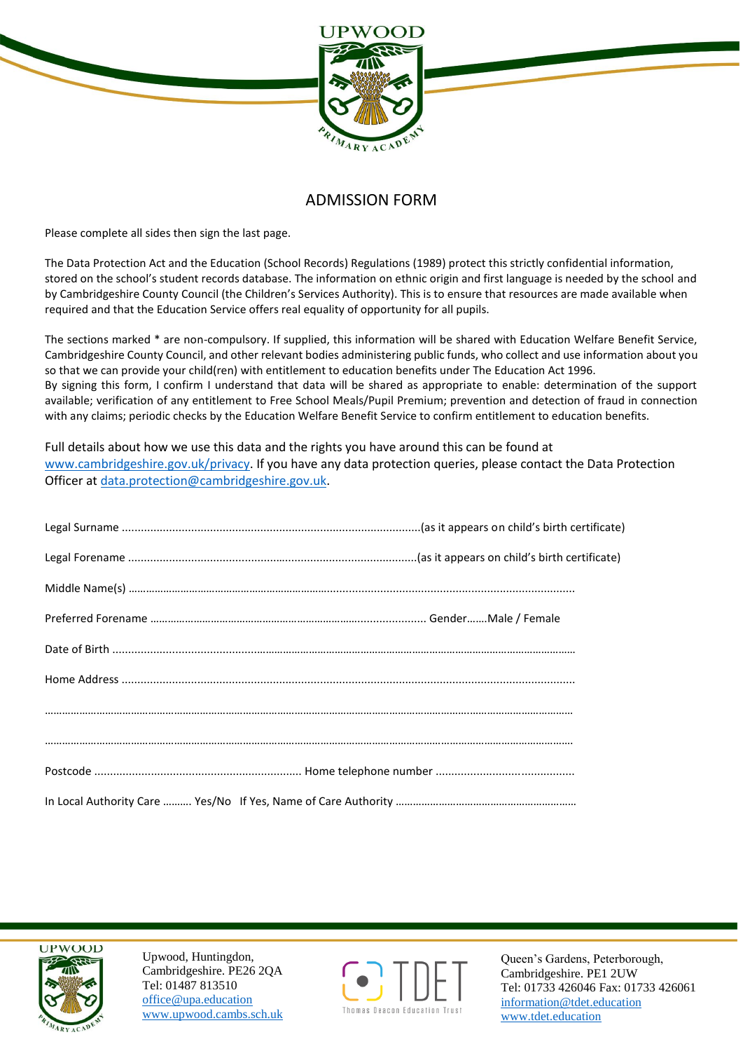

# ADMISSION FORM

Please complete all sides then sign the last page.

The Data Protection Act and the Education (School Records) Regulations (1989) protect this strictly confidential information, stored on the school's student records database. The information on ethnic origin and first language is needed by the school and by Cambridgeshire County Council (the Children's Services Authority). This is to ensure that resources are made available when required and that the Education Service offers real equality of opportunity for all pupils.

The sections marked \* are non-compulsory. If supplied, this information will be shared with Education Welfare Benefit Service, Cambridgeshire County Council, and other relevant bodies administering public funds, who collect and use information about you so that we can provide your child(ren) with entitlement to education benefits under The Education Act 1996. By signing this form, I confirm I understand that data will be shared as appropriate to enable: determination of the support available; verification of any entitlement to Free School Meals/Pupil Premium; prevention and detection of fraud in connection with any claims; periodic checks by the Education Welfare Benefit Service to confirm entitlement to education benefits.

Full details about how we use this data and the rights you have around this can be found at [www.cambridgeshire.gov.uk/privacy.](http://www.cambridgeshire.gov.uk/privacy) If you have any data protection queries, please contact the Data Protection Officer at [data.protection@cambridgeshire.gov.uk.](mailto:data.protection@cambridgeshire.gov.uk)



Upwood, Huntingdon, Cambridgeshire. PE26 2QA Tel: 01487 813510 office@upa.education [www.upwood.cambs.sch.uk](http://www.upwood.cambs.sch.uk/)

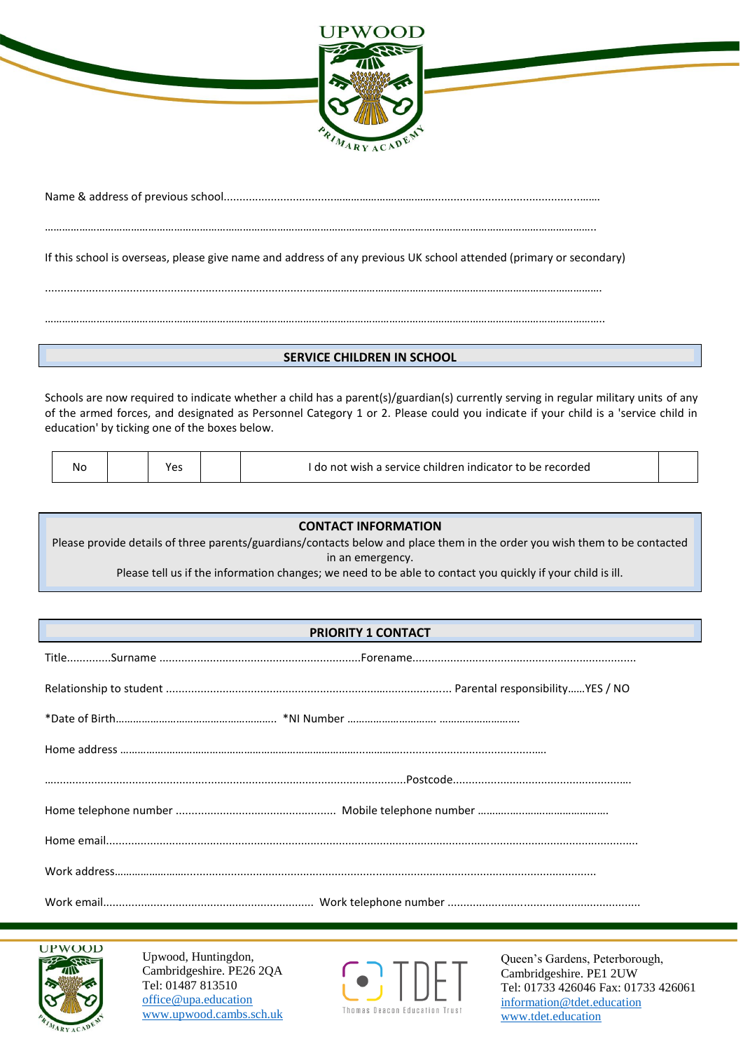

Name & address of previous school...................................………………….…………...............................................…….

……………………………………………………………………………………………………………………….………………………………………………..

If this school is overseas, please give name and address of any previous UK school attended (primary or secondary)

……………………………………………………………………………………………………………….…………………………………………………………..

...................................................................................………………………………………………………………………………………….

### **SERVICE CHILDREN IN SCHOOL**

Schools are now required to indicate whether a child has a parent(s)/guardian(s) currently serving in regular military units of any of the armed forces, and designated as Personnel Category 1 or 2. Please could you indicate if your child is a 'service child in education' by ticking one of the boxes below.

| Νo |  |  | l do not wish a service children indicator to be recorded. |  |  |
|----|--|--|------------------------------------------------------------|--|--|
|----|--|--|------------------------------------------------------------|--|--|

| <b>CONTACT INFORMATION</b>                                                                                                 |  |  |
|----------------------------------------------------------------------------------------------------------------------------|--|--|
| Please provide details of three parents/guardians/contacts below and place them in the order you wish them to be contacted |  |  |
| in an emergency.                                                                                                           |  |  |
| Please tell us if the information changes; we need to be able to contact you quickly if your child is ill.                 |  |  |

| <b>PRIORITY 1 CONTACT</b> |  |
|---------------------------|--|
|---------------------------|--|



Upwood, Huntingdon, Cambridgeshire. PE26 2QA Tel: 01487 813510 office@upa.education [www.upwood.cambs.sch.uk](http://www.upwood.cambs.sch.uk/)

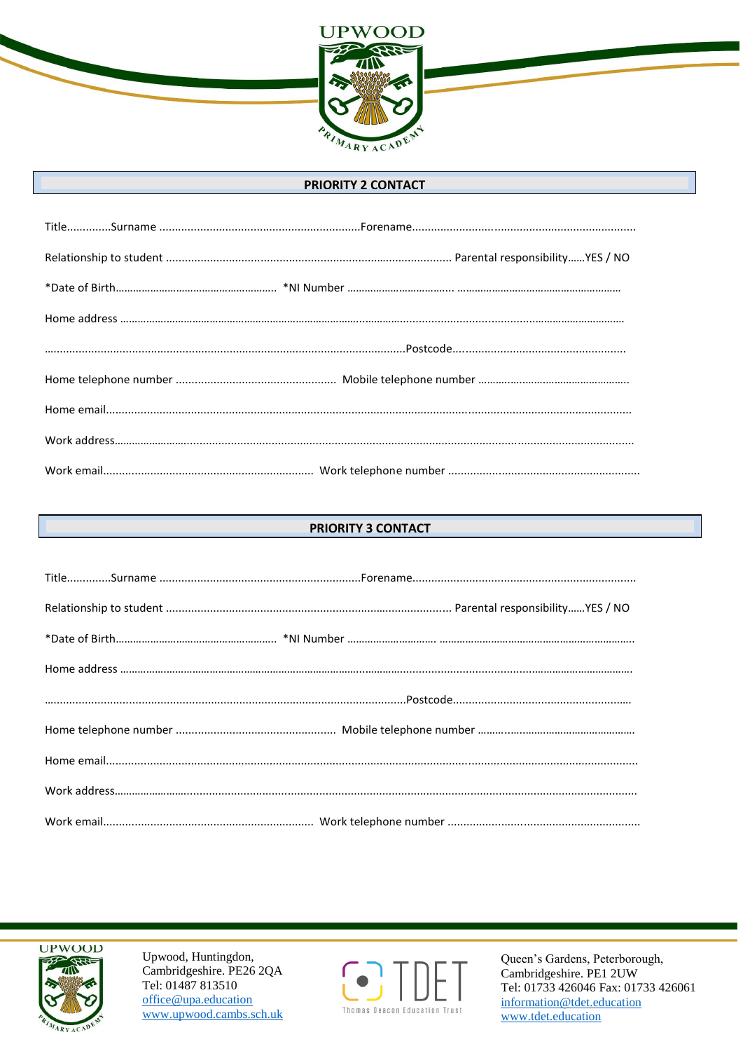

## **PRIORITY 2 CONTACT**

## **PRIORITY 3 CONTACT**



Upwood, Huntingdon, Cambridgeshire. PE26 2QA Tel: 01487 813510 office@upa.education www.upwood.cambs.sch.uk

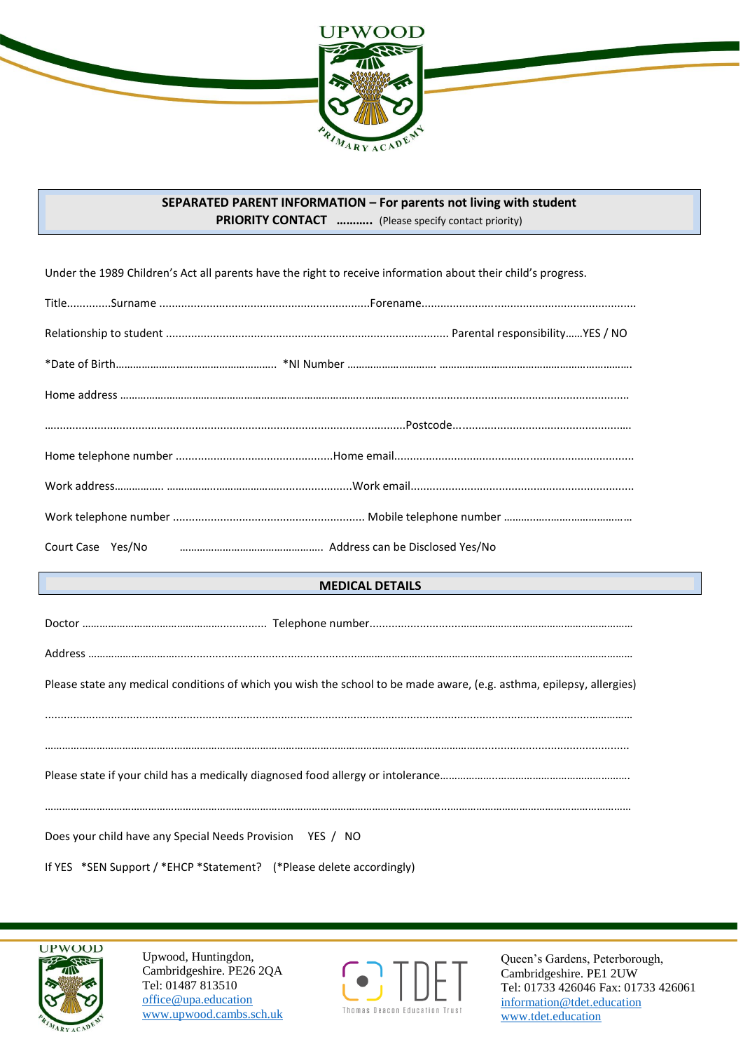

# **SEPARATED PARENT INFORMATION – For parents not living with student** PRIORITY CONTACT ........... (Please specify contact priority)

Under the 1989 Children's Act all parents have the right to receive information about their child's progress.

| <b>MEDICAL DETAILS</b> |
|------------------------|

| Please state any medical conditions of which you wish the school to be made aware, (e.g. asthma, epilepsy, allergies) |  |
|-----------------------------------------------------------------------------------------------------------------------|--|
|                                                                                                                       |  |
|                                                                                                                       |  |
|                                                                                                                       |  |



Upwood, Huntingdon, Cambridgeshire. PE26 2QA Tel: 01487 813510 office@upa.education [www.upwood.cambs.sch.uk](http://www.upwood.cambs.sch.uk/)

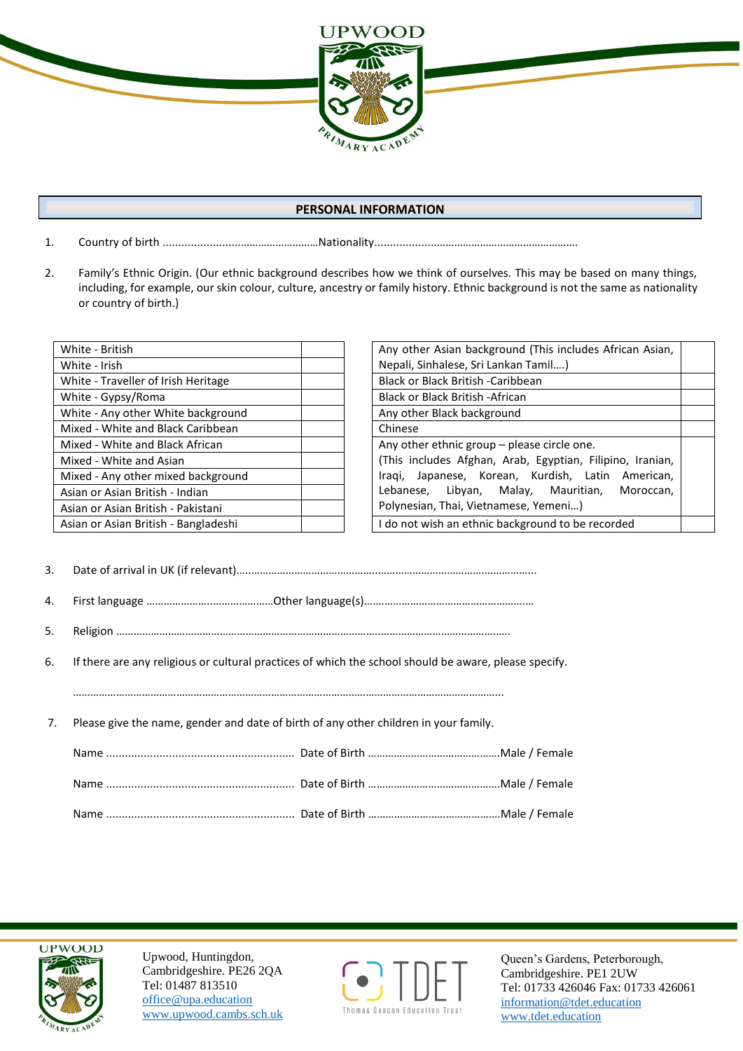

# **To help us and the local authority in monitoring equal opportunities you are asked to complete the following:**

1. Country of birth .........................………………………Nationality....................………………………………………….

2. Family's Ethnic Origin. (Our ethnic background describes how we think of ourselves. This may be based on many things, including, for example, our skin colour, culture, ancestry or family history. Ethnic background is not the same as nationality or country of birth.)

| White - British                      | Any other Asian background (This includes Africa |  |
|--------------------------------------|--------------------------------------------------|--|
| White - Irish                        | Nepali, Sinhalese, Sri Lankan Tamil)             |  |
| White - Traveller of Irish Heritage  | Black or Black British -Caribbean                |  |
| White - Gypsy/Roma                   | <b>Black or Black British -African</b>           |  |
| White - Any other White background   | Any other Black background                       |  |
| Mixed - White and Black Caribbean    | Chinese                                          |  |
| Mixed - White and Black African      | Any other ethnic group - please circle one.      |  |
| Mixed - White and Asian              | (This includes Afghan, Arab, Egyptian, Filipino, |  |
| Mixed - Any other mixed background   | Iraqi, Japanese, Korean, Kurdish, Latin Ar       |  |
| Asian or Asian British - Indian      | Lebanese, Libyan, Malay, Mauritian,<br>M         |  |
| Asian or Asian British - Pakistani   | Polynesian, Thai, Vietnamese, Yemeni)            |  |
| Asian or Asian British - Bangladeshi | do not wish an ethnic background to be recorded  |  |
|                                      |                                                  |  |

| White - British                      | Any other Asian background (This includes African Asian,  |
|--------------------------------------|-----------------------------------------------------------|
| White - Irish                        | Nepali, Sinhalese, Sri Lankan Tamil)                      |
| White - Traveller of Irish Heritage  | <b>Black or Black British -Caribbean</b>                  |
| White - Gypsy/Roma                   | <b>Black or Black British -African</b>                    |
| White - Any other White background   | Any other Black background                                |
| Mixed - White and Black Caribbean    | Chinese                                                   |
| Mixed - White and Black African      | Any other ethnic group - please circle one.               |
| Mixed - White and Asian              | (This includes Afghan, Arab, Egyptian, Filipino, Iranian, |
| Mixed - Any other mixed background   | Iraqi, Japanese, Korean, Kurdish, Latin American,         |
| Asian or Asian British - Indian      | Lebanese, Libyan, Malay, Mauritian,<br>Moroccan,          |
| Asian or Asian British - Pakistani   | Polynesian, Thai, Vietnamese, Yemeni)                     |
| Asian or Asian British - Bangladeshi | I do not wish an ethnic background to be recorded         |

3. Date of arrival in UK (if relevant)…..……………………………………..……………………………….……………...

4. First language …………………..…………………Other language(s)…….………………………………………….…

5. Religion ………………………………………………………………………………..………………………………….…..

6. If there are any religious or cultural practices of which the school should be aware, please specify.

…………………………………………………………………………………………………………………………………...

7. Please give the name, gender and date of birth of any other children in your family.



Upwood, Huntingdon, Cambridgeshire. PE26 2QA Tel: 01487 813510 office@upa.education [www.upwood.cambs.sch.uk](http://www.upwood.cambs.sch.uk/)

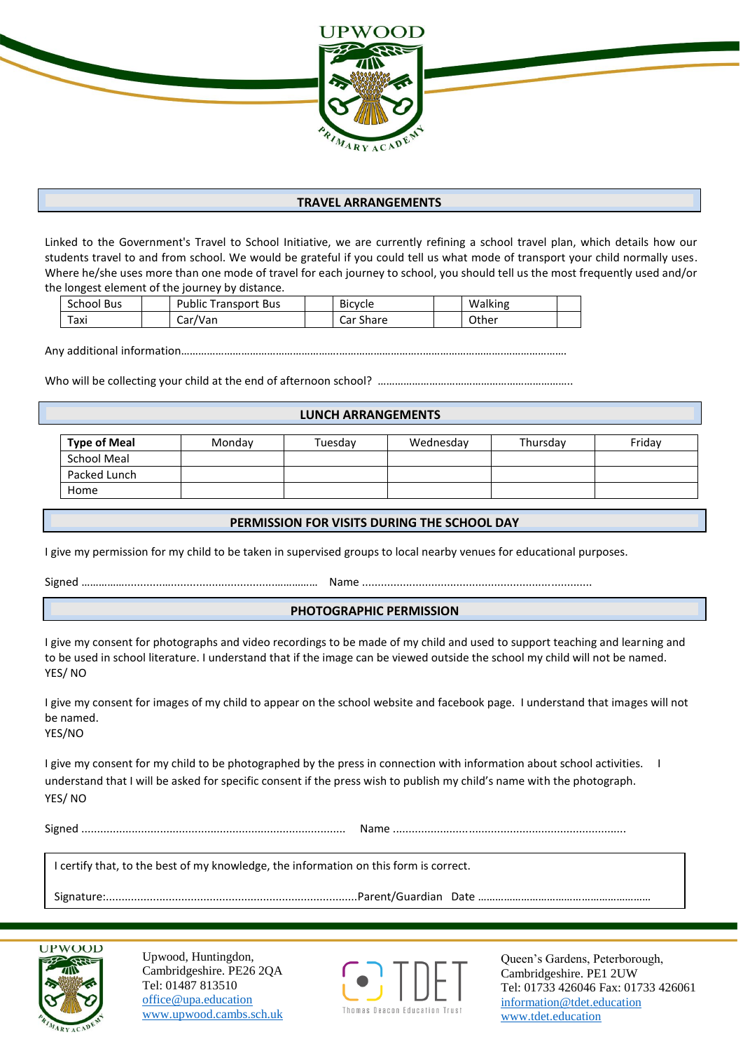

### **TRAVEL ARRANGEMENTS**

Linked to the Government's Travel to School Initiative, we are currently refining a school travel plan, which details how our students travel to and from school. We would be grateful if you could tell us what mode of transport your child normally uses. Where he/she uses more than one mode of travel for each journey to school, you should tell us the most frequently used and/or the longest element of the journey by distance.

| <b>School Bus</b> | <b>Public Transport Bus</b> | <b>Bicycle</b> | Walking |  |
|-------------------|-----------------------------|----------------|---------|--|
| Taxi              | Car/Van                     | Car Share      | Other   |  |

Any additional information……………………………………………….………………………..……………………….………………….

Who will be collecting your child at the end of afternoon school? …………………………………………………………..

### **LUNCH ARRANGEMENTS**

| <b>Type of Meal</b> | Mondav | Tuesdav | Wednesdav | Thursdav | Fridav |
|---------------------|--------|---------|-----------|----------|--------|
| School Meal         |        |         |           |          |        |
| Packed Lunch        |        |         |           |          |        |
| Home                |        |         |           |          |        |

#### **PERMISSION FOR VISITS DURING THE SCHOOL DAY**

I give my permission for my child to be taken in supervised groups to local nearby venues for educational purposes.

Signed ……………............….................................…………… Name .........................................................................

### **PHOTOGRAPHIC PERMISSION**

I give my consent for photographs and video recordings to be made of my child and used to support teaching and learning and to be used in school literature. I understand that if the image can be viewed outside the school my child will not be named. YES/ NO

I give my consent for images of my child to appear on the school website and facebook page. I understand that images will not be named. YES/NO

I give my consent for my child to be photographed by the press in connection with information about school activities. I understand that I will be asked for specific consent if the press wish to publish my child's name with the photograph. YES/ NO

Signed .................................................................................... Name ..........................................................................

I certify that, to the best of my knowledge, the information on this form is correct.

Signature:................................................................................Parent/Guardian Date ……………………………………………………



Upwood, Huntingdon, Cambridgeshire. PE26 2QA Tel: 01487 813510 office@upa.education [www.upwood.cambs.sch.uk](http://www.upwood.cambs.sch.uk/)